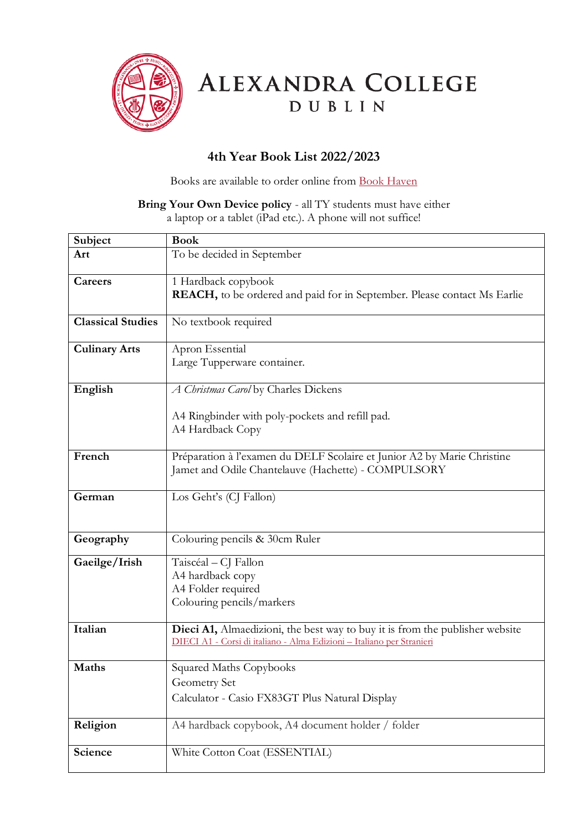

ALEXANDRA COLLEGE DUBLIN

## **4th Year Book List 2022/2023**

Books are available to order online from [Book Haven](https://www.bookhaven.ie/booklists/view/index/?code=S4724y) 

## **Bring Your Own Device policy** - all TY students must have either a laptop or a tablet (iPad etc.). A phone will not suffice!

| Subject                  | <b>Book</b>                                                                                                                                           |
|--------------------------|-------------------------------------------------------------------------------------------------------------------------------------------------------|
| Art                      | To be decided in September                                                                                                                            |
|                          |                                                                                                                                                       |
| Careers                  | 1 Hardback copybook                                                                                                                                   |
|                          | <b>REACH</b> , to be ordered and paid for in September. Please contact Ms Earlie                                                                      |
|                          |                                                                                                                                                       |
| <b>Classical Studies</b> | No textbook required                                                                                                                                  |
|                          | Apron Essential                                                                                                                                       |
| <b>Culinary Arts</b>     | Large Tupperware container.                                                                                                                           |
|                          |                                                                                                                                                       |
| English                  | A Christmas Carol by Charles Dickens                                                                                                                  |
|                          |                                                                                                                                                       |
|                          | A4 Ringbinder with poly-pockets and refill pad.                                                                                                       |
|                          | A4 Hardback Copy                                                                                                                                      |
|                          |                                                                                                                                                       |
| French                   | Préparation à l'examen du DELF Scolaire et Junior A2 by Marie Christine                                                                               |
|                          | Jamet and Odile Chantelauve (Hachette) - COMPULSORY                                                                                                   |
|                          |                                                                                                                                                       |
| German                   | Los Geht's (CJ Fallon)                                                                                                                                |
|                          |                                                                                                                                                       |
| Geography                | Colouring pencils & 30cm Ruler                                                                                                                        |
|                          |                                                                                                                                                       |
| Gaeilge/Irish            | Taiscéal - CJ Fallon                                                                                                                                  |
|                          | A4 hardback copy                                                                                                                                      |
|                          | A4 Folder required                                                                                                                                    |
|                          | Colouring pencils/markers                                                                                                                             |
|                          |                                                                                                                                                       |
| Italian                  | Dieci A1, Almaedizioni, the best way to buy it is from the publisher website<br>DIECI A1 - Corsi di italiano - Alma Edizioni - Italiano per Stranieri |
|                          |                                                                                                                                                       |
| <b>Maths</b>             | Squared Maths Copybooks                                                                                                                               |
|                          | Geometry Set                                                                                                                                          |
|                          | Calculator - Casio FX83GT Plus Natural Display                                                                                                        |
|                          |                                                                                                                                                       |
| Religion                 | A4 hardback copybook, A4 document holder / folder                                                                                                     |
|                          |                                                                                                                                                       |
| Science                  | White Cotton Coat (ESSENTIAL)                                                                                                                         |
|                          |                                                                                                                                                       |